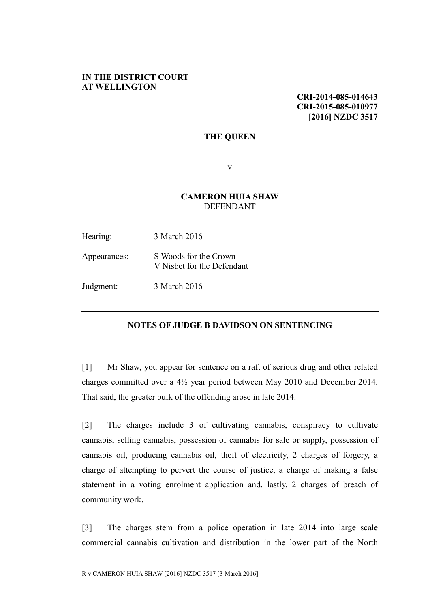## **IN THE DISTRICT COURT AT WELLINGTON**

**CRI-2014-085-014643 CRI-2015-085-010977 [2016] NZDC 3517**

## **THE QUEEN**

v

## **CAMERON HUIA SHAW** DEFENDANT

| Hearing:     | 3 March 2016                                        |
|--------------|-----------------------------------------------------|
| Appearances: | S Woods for the Crown<br>V Nisbet for the Defendant |
| Judgment:    | 3 March 2016                                        |

## **NOTES OF JUDGE B DAVIDSON ON SENTENCING**

[1] Mr Shaw, you appear for sentence on a raft of serious drug and other related charges committed over a 4½ year period between May 2010 and December 2014. That said, the greater bulk of the offending arose in late 2014.

[2] The charges include 3 of cultivating cannabis, conspiracy to cultivate cannabis, selling cannabis, possession of cannabis for sale or supply, possession of cannabis oil, producing cannabis oil, theft of electricity, 2 charges of forgery, a charge of attempting to pervert the course of justice, a charge of making a false statement in a voting enrolment application and, lastly, 2 charges of breach of community work.

[3] The charges stem from a police operation in late 2014 into large scale commercial cannabis cultivation and distribution in the lower part of the North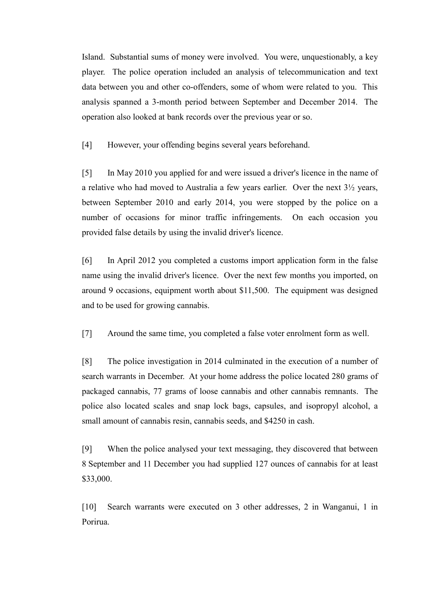Island. Substantial sums of money were involved. You were, unquestionably, a key player. The police operation included an analysis of telecommunication and text data between you and other co-offenders, some of whom were related to you. This analysis spanned a 3-month period between September and December 2014. The operation also looked at bank records over the previous year or so.

[4] However, your offending begins several years beforehand.

[5] In May 2010 you applied for and were issued a driver's licence in the name of a relative who had moved to Australia a few years earlier. Over the next 3½ years, between September 2010 and early 2014, you were stopped by the police on a number of occasions for minor traffic infringements. On each occasion you provided false details by using the invalid driver's licence.

[6] In April 2012 you completed a customs import application form in the false name using the invalid driver's licence. Over the next few months you imported, on around 9 occasions, equipment worth about \$11,500. The equipment was designed and to be used for growing cannabis.

[7] Around the same time, you completed a false voter enrolment form as well.

[8] The police investigation in 2014 culminated in the execution of a number of search warrants in December. At your home address the police located 280 grams of packaged cannabis, 77 grams of loose cannabis and other cannabis remnants. The police also located scales and snap lock bags, capsules, and isopropyl alcohol, a small amount of cannabis resin, cannabis seeds, and \$4250 in cash.

[9] When the police analysed your text messaging, they discovered that between 8 September and 11 December you had supplied 127 ounces of cannabis for at least \$33,000.

[10] Search warrants were executed on 3 other addresses, 2 in Wanganui, 1 in Porirua.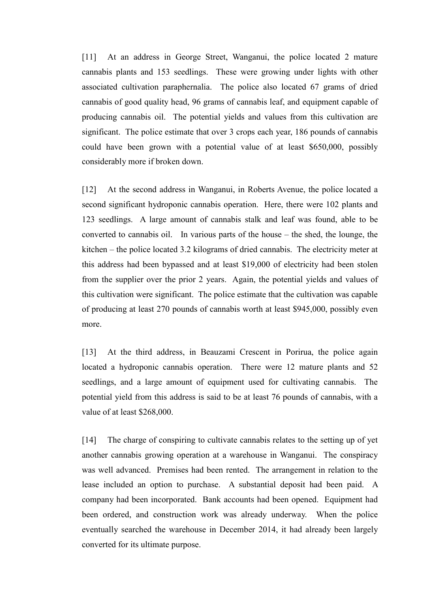[11] At an address in George Street, Wanganui, the police located 2 mature cannabis plants and 153 seedlings. These were growing under lights with other associated cultivation paraphernalia. The police also located 67 grams of dried cannabis of good quality head, 96 grams of cannabis leaf, and equipment capable of producing cannabis oil. The potential yields and values from this cultivation are significant. The police estimate that over 3 crops each year, 186 pounds of cannabis could have been grown with a potential value of at least \$650,000, possibly considerably more if broken down.

[12] At the second address in Wanganui, in Roberts Avenue, the police located a second significant hydroponic cannabis operation. Here, there were 102 plants and 123 seedlings. A large amount of cannabis stalk and leaf was found, able to be converted to cannabis oil. In various parts of the house – the shed, the lounge, the kitchen – the police located 3.2 kilograms of dried cannabis. The electricity meter at this address had been bypassed and at least \$19,000 of electricity had been stolen from the supplier over the prior 2 years. Again, the potential yields and values of this cultivation were significant. The police estimate that the cultivation was capable of producing at least 270 pounds of cannabis worth at least \$945,000, possibly even more.

[13] At the third address, in Beauzami Crescent in Porirua, the police again located a hydroponic cannabis operation. There were 12 mature plants and 52 seedlings, and a large amount of equipment used for cultivating cannabis. The potential yield from this address is said to be at least 76 pounds of cannabis, with a value of at least \$268,000.

[14] The charge of conspiring to cultivate cannabis relates to the setting up of yet another cannabis growing operation at a warehouse in Wanganui. The conspiracy was well advanced. Premises had been rented. The arrangement in relation to the lease included an option to purchase. A substantial deposit had been paid. A company had been incorporated. Bank accounts had been opened. Equipment had been ordered, and construction work was already underway. When the police eventually searched the warehouse in December 2014, it had already been largely converted for its ultimate purpose.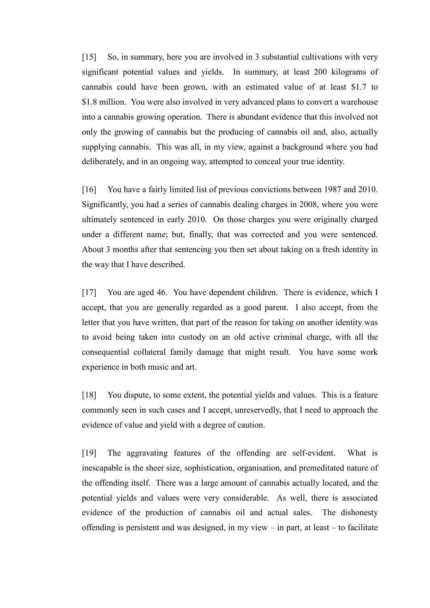[15] So, in summary, here you are involved in 3 substantial cultivations with very significant potential values and yields. In summary, at least 200 kilograms of cannabis could have been grown, with an estimated value of at least \$1.7 to \$1.8 million. You were also involved in very advanced plans to convert a warehouse into a cannabis growing operation. There is abundant evidence that this involved not only the growing of cannabis but the producing of cannabis oil and, also, actually supplying cannabis. This was all, in my view, against a background where you had deliberately, and in an ongoing way, attempted to conceal your true identity.

[16] You have a fairly limited list of previous convictions between 1987 and 2010. Significantly, you had a series of cannabis dealing charges in 2008, where you were ultimately sentenced in early 2010. On those charges you were originally charged under a different name; but, finally, that was corrected and you were sentenced. About 3 months after that sentencing you then set about taking on a fresh identity in the way that I have described.

[17] You are aged 46. You have dependent children. There is evidence, which I accept, that you are generally regarded as a good parent. I also accept, from the letter that you have written, that part of the reason for taking on another identity was to avoid being taken into custody on an old active criminal charge, with all the consequential collateral family damage that might result. You have some work experience in both music and art.

[18] You dispute, to some extent, the potential yields and values. This is a feature commonly seen in such cases and I accept, unreservedly, that I need to approach the evidence of value and yield with a degree of caution.

[19] The aggravating features of the offending are self-evident. What is inescapable is the sheer size, sophistication, organisation, and premeditated nature of the offending itself. There was a large amount of cannabis actually located, and the potential yields and values were very considerable. As well, there is associated evidence of the production of cannabis oil and actual sales. The dishonesty offending is persistent and was designed, in my view – in part, at least – to facilitate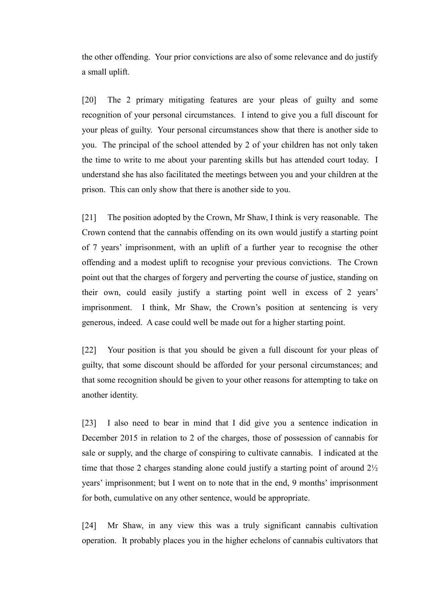the other offending. Your prior convictions are also of some relevance and do justify a small uplift.

[20] The 2 primary mitigating features are your pleas of guilty and some recognition of your personal circumstances. I intend to give you a full discount for your pleas of guilty. Your personal circumstances show that there is another side to you. The principal of the school attended by 2 of your children has not only taken the time to write to me about your parenting skills but has attended court today. I understand she has also facilitated the meetings between you and your children at the prison. This can only show that there is another side to you.

[21] The position adopted by the Crown, Mr Shaw, I think is very reasonable. The Crown contend that the cannabis offending on its own would justify a starting point of 7 years' imprisonment, with an uplift of a further year to recognise the other offending and a modest uplift to recognise your previous convictions. The Crown point out that the charges of forgery and perverting the course of justice, standing on their own, could easily justify a starting point well in excess of 2 years' imprisonment. I think, Mr Shaw, the Crown's position at sentencing is very generous, indeed. A case could well be made out for a higher starting point.

[22] Your position is that you should be given a full discount for your pleas of guilty, that some discount should be afforded for your personal circumstances; and that some recognition should be given to your other reasons for attempting to take on another identity.

[23] I also need to bear in mind that I did give you a sentence indication in December 2015 in relation to 2 of the charges, those of possession of cannabis for sale or supply, and the charge of conspiring to cultivate cannabis. I indicated at the time that those 2 charges standing alone could justify a starting point of around 2½ years' imprisonment; but I went on to note that in the end, 9 months' imprisonment for both, cumulative on any other sentence, would be appropriate.

[24] Mr Shaw, in any view this was a truly significant cannabis cultivation operation. It probably places you in the higher echelons of cannabis cultivators that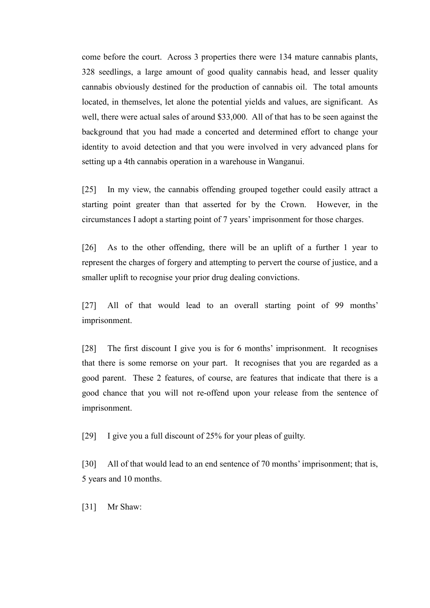come before the court. Across 3 properties there were 134 mature cannabis plants, 328 seedlings, a large amount of good quality cannabis head, and lesser quality cannabis obviously destined for the production of cannabis oil. The total amounts located, in themselves, let alone the potential yields and values, are significant. As well, there were actual sales of around \$33,000. All of that has to be seen against the background that you had made a concerted and determined effort to change your identity to avoid detection and that you were involved in very advanced plans for setting up a 4th cannabis operation in a warehouse in Wanganui.

[25] In my view, the cannabis offending grouped together could easily attract a starting point greater than that asserted for by the Crown. However, in the circumstances I adopt a starting point of 7 years' imprisonment for those charges.

[26] As to the other offending, there will be an uplift of a further 1 year to represent the charges of forgery and attempting to pervert the course of justice, and a smaller uplift to recognise your prior drug dealing convictions.

[27] All of that would lead to an overall starting point of 99 months' imprisonment.

[28] The first discount I give you is for 6 months' imprisonment. It recognises that there is some remorse on your part. It recognises that you are regarded as a good parent. These 2 features, of course, are features that indicate that there is a good chance that you will not re-offend upon your release from the sentence of imprisonment.

[29] I give you a full discount of 25% for your pleas of guilty.

[30] All of that would lead to an end sentence of 70 months' imprisonment; that is, 5 years and 10 months.

[31] Mr Shaw: